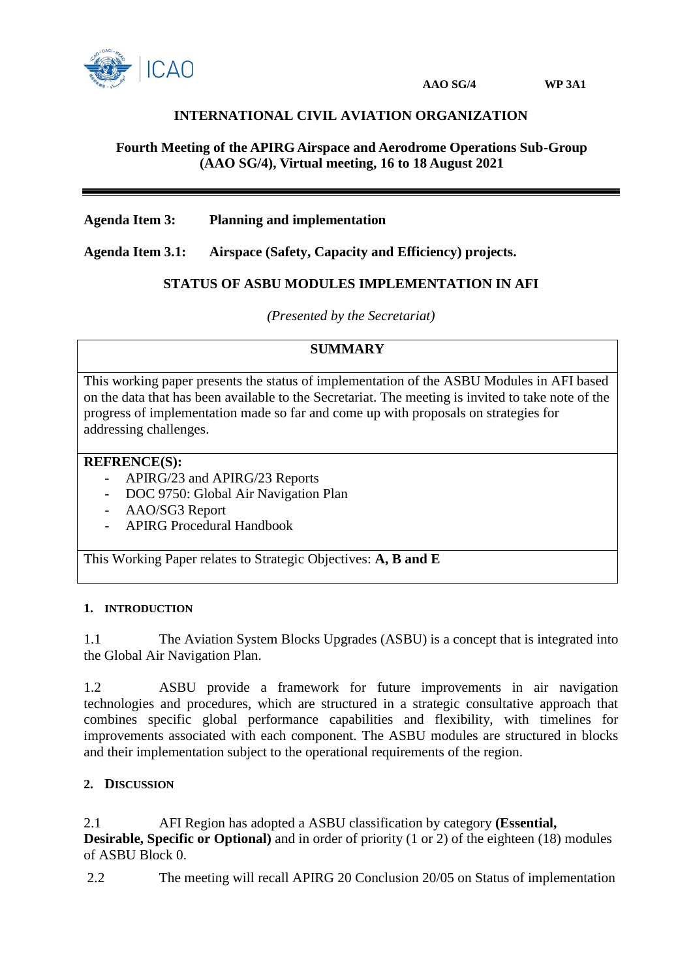

# **INTERNATIONAL CIVIL AVIATION ORGANIZATION**

### **Fourth Meeting of the APIRG Airspace and Aerodrome Operations Sub-Group (AAO SG/4), Virtual meeting, 16 to 18 August 2021**

### **Agenda Item 3: Planning and implementation**

**Agenda Item 3.1: Airspace (Safety, Capacity and Efficiency) projects.**

### **STATUS OF ASBU MODULES IMPLEMENTATION IN AFI**

*(Presented by the Secretariat)*

### **SUMMARY**

This working paper presents the status of implementation of the ASBU Modules in AFI based on the data that has been available to the Secretariat. The meeting is invited to take note of the progress of implementation made so far and come up with proposals on strategies for addressing challenges.

#### **REFRENCE(S):**

- APIRG/23 and APIRG/23 Reports
- DOC 9750: Global Air Navigation Plan
- AAO/SG3 Report
- APIRG Procedural Handbook

This Working Paper relates to Strategic Objectives: **A, B and E**

#### **1. INTRODUCTION**

1.1 The Aviation System Blocks Upgrades (ASBU) is a concept that is integrated into the Global Air Navigation Plan.

1.2 ASBU provide a framework for future improvements in air navigation technologies and procedures, which are structured in a strategic consultative approach that combines specific global performance capabilities and flexibility, with timelines for improvements associated with each component. The ASBU modules are structured in blocks and their implementation subject to the operational requirements of the region.

# **2. DISCUSSION**

2.1 AFI Region has adopted a ASBU classification by category **(Essential, Desirable, Specific or Optional**) and in order of priority (1 or 2) of the eighteen (18) modules of ASBU Block 0.

2.2 The meeting will recall APIRG 20 Conclusion 20/05 on Status of implementation